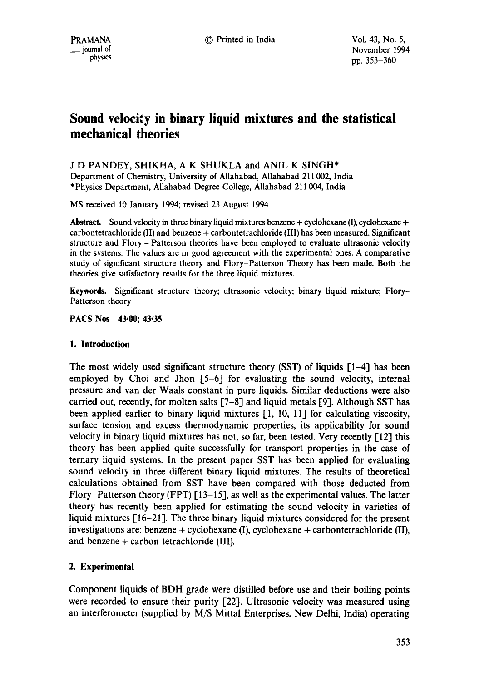# **Sound velocity in binary liquid mixtures and the statistical mechanical theories**

# J D PANDEY, SHIKHA, A K SHUKLA and ANIL K SINGH\*

Department of Chemistry, University of AUahabad, Allahabad 211002, India \* Physics Department, Allahabad Degree College, Allahabad 211004, India

MS received 10 January 1994; revised 23 August 1994

Abstract. Sound velocity in three binary liquid mixtures benzene + cyclohexane (I), cyclohexane + carbontetrachloride (II) and benzene + carbontetrachloride (III) has been measured. Significant structure and Flory - Patterson theories have been employed to evaluate ultrasonic velocity in the systems. The values are in good agreement with the experimental ones. A comparative study of significant structure theory and Flory-Patterson Theory has been made. Both the theories give satisfactory results for the three liquid mixtures.

**Keywords.** Significant structure theory; ultrasonic velocity; binary liquid mixture; Flory-Patterson theory

**PACS Nos 43"00; 43"35** 

# **1. Introduction**

The most widely used significant structure theory (SST) of liquids  $[1-4]$  has been employed by Choi and Jhon [5-6] for evaluating the sound velocity, internal pressure and van der Waals constant in pure liquids. Similar deductions were also carried out, recently, for molten salts [7-8] and liquid metals [9]. Although SST has been applied earlier to binary liquid mixtures [1, 10, 11] for calculating viscosity, surface tension and excess thermodynamic properties, its applicability for sound velocity in binary liquid mixtures has not, so far, been tested. Very recently [12] this theory has been applied quite successfully for transport properties in the case of ternary liquid systems. In the present paper SST has been applied for evaluating sound velocity in three different binary liquid mixtures. The results of theoretical calculations obtained from SST have been compared with those deducted from Flory-Patterson theory (FPT) [13-15], as well as the experimental values. The latter theory has recently been applied for estimating the sound velocity in varieties of liquid mixtures [16-21]. The three binary liquid mixtures considered for the present investigations are: benzene + cyclohexane (I), cyclohexane + carbontetrachloride (II), and benzene + carbon tetrachloride (III).

# **2. Experimental**

Component liquids of BDH grade were distilled before use and their boiling points were recorded to ensure their purity [22]. Ultrasonic velocity was measured using an interferometer (supplied by M/S Mittal Enterprises, New Delhi, India) operating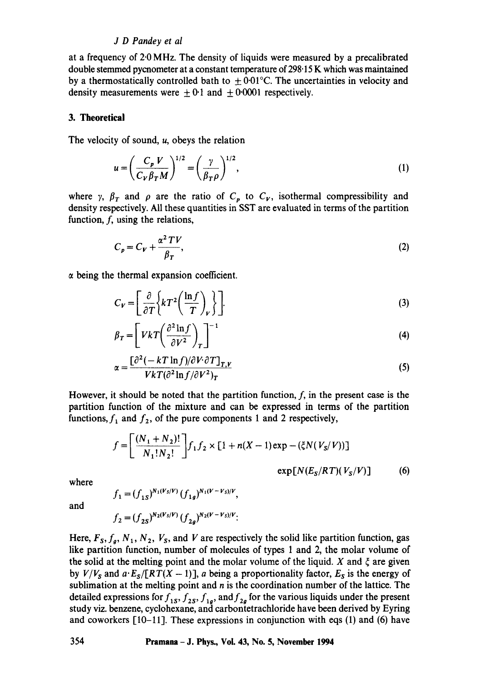# *J D Pandey et al*

at a frequency of 2.0 MHz. The density of liquids were measured by a precalibrated double stemmed pycnometer at a constant temperature of 298.15 K which was maintained by a thermostatically controlled bath to  $\pm 0.01^{\circ}$ C. The uncertainties in velocity and density measurements were  $\pm 0.1$  and  $\pm 0.0001$  respectively.

## **3. Theoretical**

The velocity of sound,  $u$ , obeys the relation

$$
u = \left(\frac{C_p V}{C_V \beta_T M}\right)^{1/2} = \left(\frac{\gamma}{\beta_T \rho}\right)^{1/2},\tag{1}
$$

where y,  $\beta_T$  and  $\rho$  are the ratio of  $C_p$  to  $C_V$ , isothermal compressibility and density respectively. All these quantities in SST are evaluated in terms of the partition function, f, using the relations,

$$
C_p = C_V + \frac{\alpha^2 \, TV}{\beta_T},\tag{2}
$$

 $\alpha$  being the thermal expansion coefficient.

$$
C_V = \left[\frac{\partial}{\partial T} \left\{ kT^2 \left(\frac{\ln f}{T}\right)_V \right\} \right].
$$
 (3)

$$
\beta_T = \left[ VkT \left( \frac{\partial^2 \ln f}{\partial V^2} \right)_T \right]^{-1} \tag{4}
$$

$$
\alpha = \frac{\left[\partial^2 (-kT\ln f)/\partial V \partial T\right]_{T,V}}{VkT(\partial^2 \ln f/\partial V^2)_T}
$$
\n(5)

However, it should be noted that the partition function,  $f$ , in the present case is the partition function of the mixture and can be expressed in terms of the partition functions,  $f_1$  and  $f_2$ , of the pure components 1 and 2 respectively,

$$
f = \left[\frac{(N_1 + N_2)!}{N_1! N_2!}\right] f_1 f_2 \times [1 + n(X - 1) \exp(-(\xi N(V_S/V)))]
$$
  
 
$$
\exp[N(E_S/RT)(V_S/V)] \tag{6}
$$

where

and

$$
f_1 = (f_{1S})^{N_1(V_S/V)} (f_{1g})^{N_1(V-V_S)/V},
$$
  

$$
f_2 = (f_{2S})^{N_2(V_S/V)} (f_{2g})^{N_2(V-V_S)/V};
$$

Here,  $F_s$ ,  $f_g$ ,  $N_1$ ,  $N_2$ ,  $V_s$ , and V are respectively the solid like partition function, gas like partition function, number of molecules of types I and 2, the molar volume of the solid at the melting point and the molar volume of the liquid. X and  $\xi$  are given by  $V/V_s$  and  $a \cdot E_s/[RT(X-1)]$ , a being a proportionality factor,  $E_s$  is the energy of sublimation at the melting point and  $n$  is the coordination number of the lattice. The detailed expressions for  $f_{1s}$ ,  $f_{2s}$ ,  $f_{1g}$ , and  $f_{2g}$  for the various liquids under the present study viz. benzene, cyclohexane, and carbontetrachloride have been derived by Eyring and coworkers  $[10-11]$ . These expressions in conjunction with eqs  $(1)$  and  $(6)$  have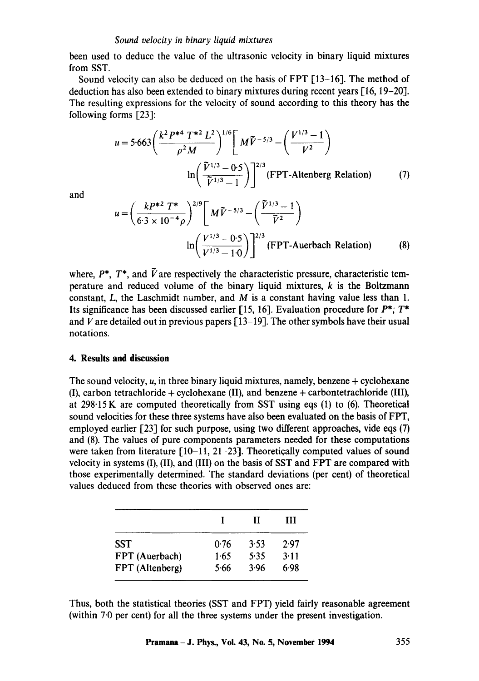#### *Sound velocity in binary liquid mixtures*

been used to deduce the value of the ultrasonic velocity in binary liquid mixtures from SST.

Sound velocity can also be deduced on the basis of FPT [13-16]. The method of deduction has also been extended to binary mixtures during recent years [16, 19-20]. The resulting expressions for the velocity of sound according to this theory has the following forms [23]:

$$
u = 5.663 \left( \frac{k^2 P^{*4} T^{*2} L^2}{\rho^2 M} \right)^{1/6} \left[ M \tilde{V}^{-5/3} - \left( \frac{V^{1/3} - 1}{V^2} \right) \right]
$$

$$
\ln \left( \frac{\tilde{V}^{1/3} - 0.5}{\tilde{V}^{1/3} - 1} \right) \right]^{2/3} (\text{FPT-Altenberg Relation}) \tag{7}
$$

and  
\n
$$
u = \left(\frac{kP^{*2} T^*}{6 \cdot 3 \times 10^{-4} \rho}\right)^{2/9} \left[M\tilde{V}^{-5/3} - \left(\frac{\tilde{V}^{1/3} - 1}{\tilde{V}^2}\right) \right]
$$
\n
$$
\ln \left(\frac{V^{1/3} - 0 \cdot 5}{V^{1/3} - 1 \cdot 0}\right)^{2/3} \text{(FPT-Auerbach Relation)} \tag{8}
$$

where,  $P^*$ ,  $T^*$ , and  $\tilde{V}$  are respectively the characteristic pressure, characteristic temperature and reduced volume of the binary liquid mixtures, k is the Boltzmann constant, L, the Laschmidt number, and M is a constant having value less than 1. Its significance has been discussed earlier [15, 16]. Evaluation procedure for  $P^*$ ;  $T^*$ and V are detailed out in previous papers  $[13-19]$ . The other symbols have their usual notations.

## **4. Results and discussion**

The sound velocity,  $u$ , in three binary liquid mixtures, namely, benzene  $+$  cyclohexane (I), carbon tetrachloride + cyclohexane (II), and benzene + carbontetrachloride (III), at 298.15K are computed theoretically from SST using eqs (1) to (6). Theoretical sound velocities for these three systems have also been evaluated on the basis of FPT, employed earlier [23] for such purpose, using two different approaches, vide eqs (7) and (8). The values of pure components parameters needed for these computations were taken from literature [10-11, 21-23]. Theoretically computed values of sound velocity in systems (I), (II), and (III) on the basis of SST and FPT are compared with those experimentally determined. The standard deviations (per cent) of theoretical values deduced from these theories with observed ones are:

|                 |      | Ш    | ш    |
|-----------------|------|------|------|
| SST             | 0.76 | 3.53 | 2.97 |
| FPT (Auerbach)  | 1.65 | 5.35 | 3.11 |
| FPT (Altenberg) | 5.66 | 3.96 | 6.98 |

Thus, both the statistical theories (SST and FPT) yield fairly reasonable agreement (within 7.0 per cent) for all the three systems under the present investigation.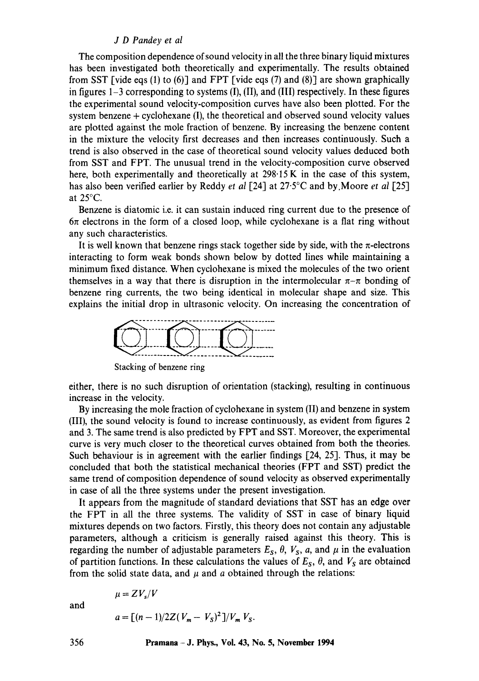# *J D Pandey et al*

The composition dependence of sound velocity in all the three binary liquid mixtures has been investigated both theoretically and experimentally. The results obtained from SST [vide eqs (1) to (6)] and FPT [vide eqs (7) and (8)] are shown graphically in figures  $1-3$  corresponding to systems (I), (II), and (III) respectively. In these figures the experimental sound velocity-composition curves have also been plotted. For the system benzene  $+$  cyclohexane  $(I)$ , the theoretical and observed sound velocity values are plotted against the mole fraction of benzene. By increasing the benzene content in the mixture the velocity first decreases and then increases continuously. Such a trend is also observed in the case of theoretical sound velocity values deduced both from SST and FPT. The unusual trend in the velocity-composition curve observed here, both experimentally and theoretically at 298.15 K in the case of this system, has also been verified earlier by Reddy *et al* [24] at 27.5°C and by Moore *et al* [25] at 25°C.

Benzene is diatomic i.e. it can sustain induced ring current due to the presence of  $6\pi$  electrons in the form of a closed loop, while cyclohexane is a flat ring without any such characteristics.

It is well known that benzene rings stack together side by side, with the  $\pi$ -electrons interacting to form weak bonds shown below by dotted lines while maintaining a minimum fixed distance. When cyclohexane is mixed the molecules of the two orient themselves in a way that there is disruption in the intermolecular  $\pi-\pi$  bonding of benzene ring currents, the two being identical in molecular shape and size. This explains the initial drop in ultrasonic velocity. On increasing the concentration of



Stacking of benzene ring

either, there is no such disruption of orientation (stacking), resulting in continuous increase in the velocity.

By increasing the mole fraction of cyclohexane in system (II) and benzene in system (III), the sound velocity is found to increase continuously, as evident from figures 2 and 3. The same trend is also predicted by FPT and SST. Moreover, the experimental curve is very much closer to the theoretical curves obtained from both the theories. Such behaviour is in agreement with the earlier findings [24, 25]. Thus, it may be concluded that both the statistical mechanical theories (FPT and SST) predict the same trend of composition dependence of sound velocity as observed experimentally in case of all the three systems under the present investigation.

It appears from the magnitude of standard deviations that SST has an edge over the FPT in all the three systems. The validity of SST in case of binary liquid mixtures depends on two factors. Firstly, this theory does not contain any adjustable parameters, although a criticism is generally raised against this theory. This is regarding the number of adjustable parameters  $E_s$ ,  $\theta$ ,  $V_s$ ,  $a$ , and  $\mu$  in the evaluation of partition functions. In these calculations the values of  $E_s$ ,  $\theta$ , and  $V_s$  are obtained from the solid state data, and  $\mu$  and  $\alpha$  obtained through the relations:

and

$$
a = \frac{(n-1)}{2Z(V_m - V_S)^2} / V_m V_S.
$$

 $\mu = ZV_s/V$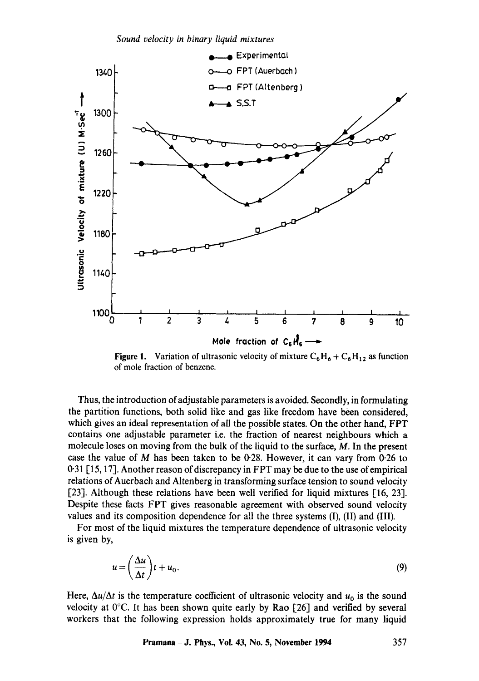*Sound velocity in binary liquid mixtures* 



Figure 1. Variation of ultrasonic velocity of mixture  $C_6H_6 + C_6H_{12}$  as function of mole fraction of benzene.

Thus, the introduction of adjustable parameters is avoided. Secondly, in formulating the partition functions, both solid like and gas like freedom have been considered, which gives an ideal representation of all the possible states. On the other hand, FPT contains one adjustable parameter i.e. the fraction of nearest neighbours which a molecule loses on moving from the bulk of the liquid to the surface, M. In the present case the value of  $M$  has been taken to be 0.28. However, it can vary from 0.26 to 0"31 [ 15, 17]. Another reason of discrepancy in FPT may be due to the use of empirical relations of Auerbach and Altenberg in transforming surface tension to sound velocity [23]. Although these relations have been well verified for liquid mixtures [16, 23]. Despite these facts FPT gives reasonable agreement with observed sound velocity values and its composition dependence for all the three systems (I), (II) and (III).

For most of the liquid mixtures the temperature dependence of ultrasonic velocity is given by,

$$
u = \left(\frac{\Delta u}{\Delta t}\right)t + u_0. \tag{9}
$$

Here,  $\Delta u/\Delta t$  is the temperature coefficient of ultrasonic velocity and  $u_0$  is the sound velocity at  $0^{\circ}$ C. It has been shown quite early by Rao [26] and verified by several workers that the following expression holds approximately true for many liquid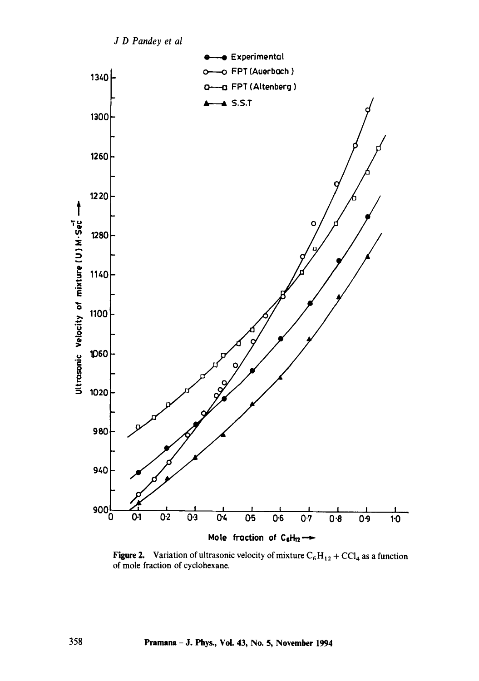

**Figure 2.** Variation of ultrasonic velocity of mixture  $C_6H_{12} + CCl_4$  as a function of mole fraction of cyclohexane.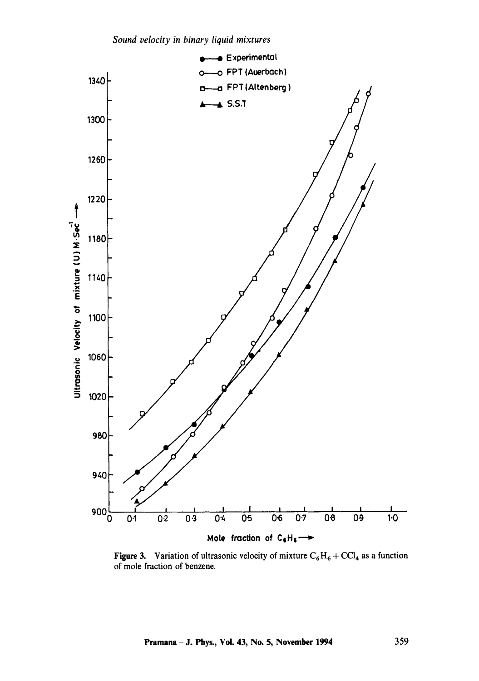

Figure 3. Variation of ultrasonic velocity of mixture  $C_6H_6 + CCl_4$  as a function of mole fraction of benzene.